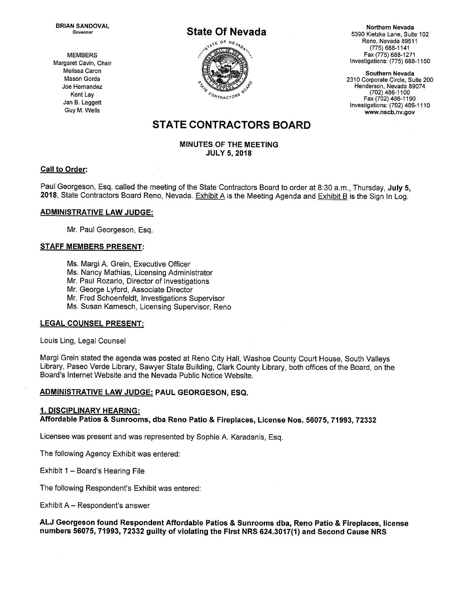BRIAN SANDOVAL **Northern Nevada CALL ASSESSED AT A REPORT OF A LIGACION** CONTROL AND NORTHERN Nevada



Governor State Of Nevada<br>Governor State Of Nevada<br> $60^{\text{K}}$  5390 Kietzke Lane, Suite 102<br>Reno, Nevada 89511<br>(775) 688-1141 Reno, Nevada 89511 (775) 688-1141 MEMBERS Fax (775) 688-1271 Margaret Cavin, Chair **Investigations: (775) 688-1150** 

Mason Gorda 200 Joe Hernandez Henderson, Nevada 89074 Kent Lay Fax (702) 486-1190  $\text{Len}$  Lay  $\text{Len}$  Leggett Jan B. Leggett Jan B. Leggett Jan B. Leggett Jan B. Leggett Jan B. Leggett Jan B. Leggett Jan B. Leggett Jan B. Leggett Jan B. Leggett Jan B. Leggett Jan B. Leggett Jan B. Leggett Jan B. Legge Guy M. Wells www.nscb.nv.gov

# STATE CONTRACTORS BOARD

#### MINUTES OF THE MEETING JULY 5, 2018

#### Call to Order:

Paul Georgeson, Esq. called the meeting of the State Contractors Board to order at 8:30 a.m., Thursday, July 5, 2018, State Contractors Board Reno, Nevada. Exhibit A is the Meeting Agenda and Exhibit B is the Sign In Log.

#### ADMINISTRATIVE LAW JUDGE:

Mr. Paul Georgeson, Esq.

#### STAFF MEMBERS PRESENT:

Ms. Margi A. Grein, Executive Officer

Ms. Nancy Mathias, Licensing Administrator

Mr. Paul Rozario, Director of Investigations

Mr. George Lyford, Associate Director

Mr. Fred Schoenfeldt, Investigations Supervisor

Ms. Susan Kamesch, Licensing Supervisor, Reno

#### LEGAL COUNSEL PRESENT:

Louis Ling, Legal Counsel

Margi Grein stated the agenda was posted at Reno City Hall, Washoe County Court House, South Valleys Library, Paseo Verde Library, Sawyer State Building, Clark County Library, both offices of the Board, on the Board's Internet Website and the Nevada Public Notice Website.

#### ADMINISTRATIVE LAW JUDGE: PAUL GEORGESON, ESQ.

#### 1. DISCIPLINARY HEARING: Affordable Patios & Sunrooms, dba Reno Patio & Fireplaces, License Nos. 56075, 71993, 72332

Licensee was present and was represented by Sophie A. Karadanis, Esq.

The following Agency Exhibit was entered:

Exhibit I — Board's Hearing File

The following Respondent's Exhibit was entered:

Exhibit A — Respondent's answer

#### AU Georgeson found Respondent Affordable Patios & Sunrooms dba, Reno Patio & Fireplaces, license numbers 56075, 71993, 72332 guilty of violating the First NRS 624.3017(1) and Second Cause NRS